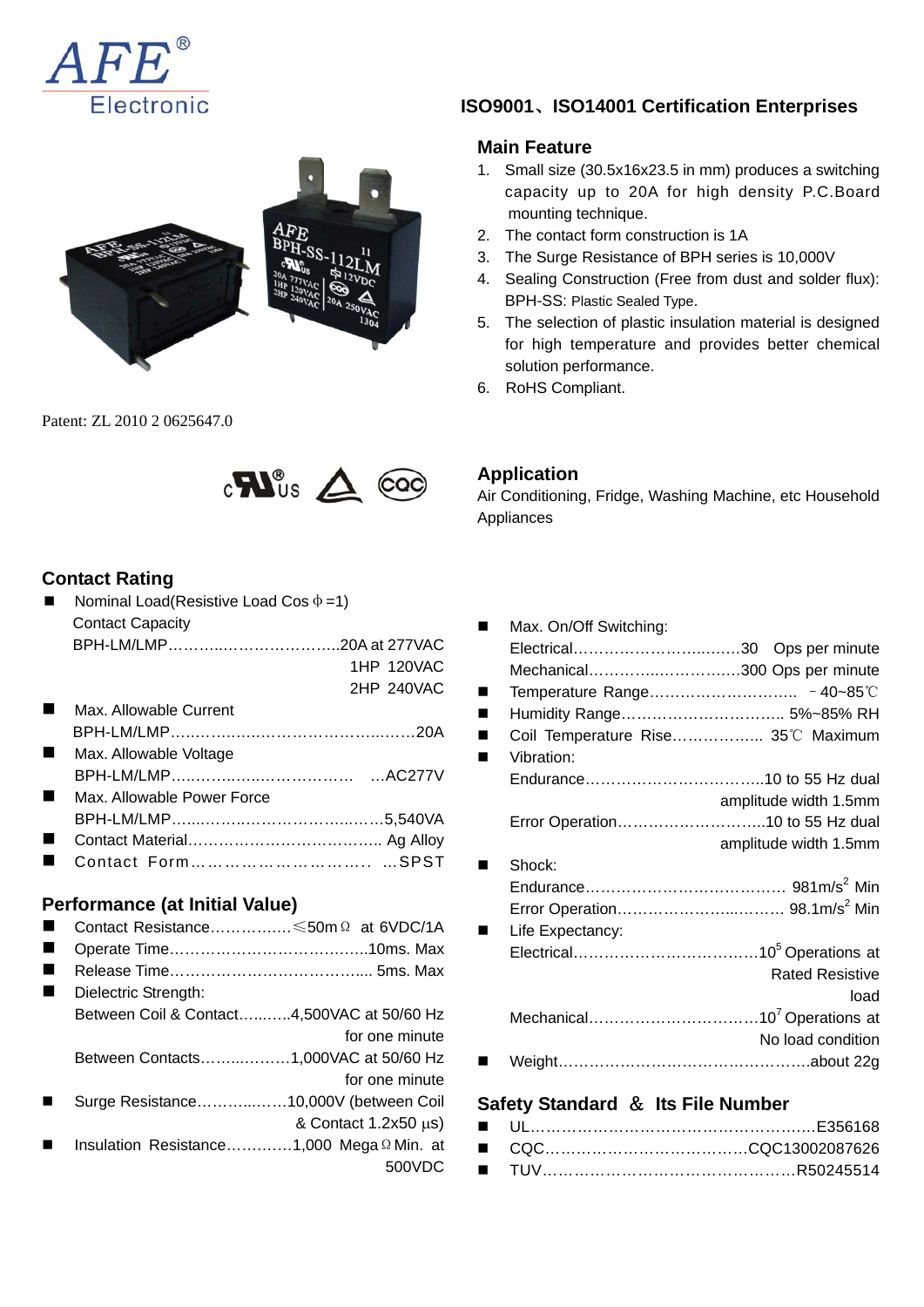



Patent: ZL 2010 2 0625647.0



#### **Contact Rating**

Nominal Load(Resistive Load Cos  $\phi = 1$ ) Contact Capacity BPH-LM/LMP………..…………………..20A at 277VAC 1HP 120VAC

|     |                                   | 2HP 240VAC |
|-----|-----------------------------------|------------|
|     | Max. Allowable Current            |            |
|     |                                   |            |
|     | ■ Max. Allowable Voltage          |            |
|     |                                   |            |
|     | <b>Max. Allowable Power Force</b> |            |
|     |                                   |            |
| . . |                                   |            |
| . . |                                   |            |
|     |                                   |            |

## **Performance (at Initial Value)**

- Contact Resistance………….…≤50mΩ at 6VDC/1A
- Operate Time…………………………………………10ms. Max
- Release Time……………………………….... 5ms. Max
- Dielectric Strength: Between Coil & Contact…...…..4,500VAC at 50/60 Hz for one minute Between Contacts……...………1,000VAC at 50/60 Hz for one minute
- Surge Resistance………...……10,000V (between Coil
	- & Contact 1.2x50 μs)
- Insulation Resistance…….……1,000 MegaΩMin. at 500VDC

# **ISO9001**、**ISO14001 Certification Enterprises**

### **Main Feature**

- 1. Small size (30.5x16x23.5 in mm) produces a switching capacity up to 20A for high density P.C.Board mounting technique.
- 2. The contact form construction is 1A
- 3. The Surge Resistance of BPH series is 10,000V
- 4. Sealing Construction (Free from dust and solder flux): BPH-SS: Plastic Sealed Type.
- 5. The selection of plastic insulation material is designed for high temperature and provides better chemical solution performance.
- 6. RoHS Compliant.

## **Application**

Air Conditioning, Fridge, Washing Machine, etc Household Appliances

| Max. On/Off Switching: |                                    |
|------------------------|------------------------------------|
|                        |                                    |
|                        | Mechanical300 Ops per minute       |
|                        |                                    |
|                        | Humidity Range 5%~85% RH           |
|                        | Coil Temperature Rise 35°C Maximum |
| Vibration:             |                                    |
|                        |                                    |
|                        | amplitude width 1.5mm              |
|                        | Error Operation10 to 55 Hz dual    |
|                        | amplitude width 1.5mm              |
| Shock:                 |                                    |
|                        |                                    |
|                        |                                    |
| Life Expectancy:       |                                    |
|                        |                                    |
|                        | <b>Rated Resistive</b>             |
|                        | load                               |
|                        |                                    |
|                        | No load condition                  |
|                        |                                    |
|                        |                                    |

### **Safety Standard** & **Its File Number**